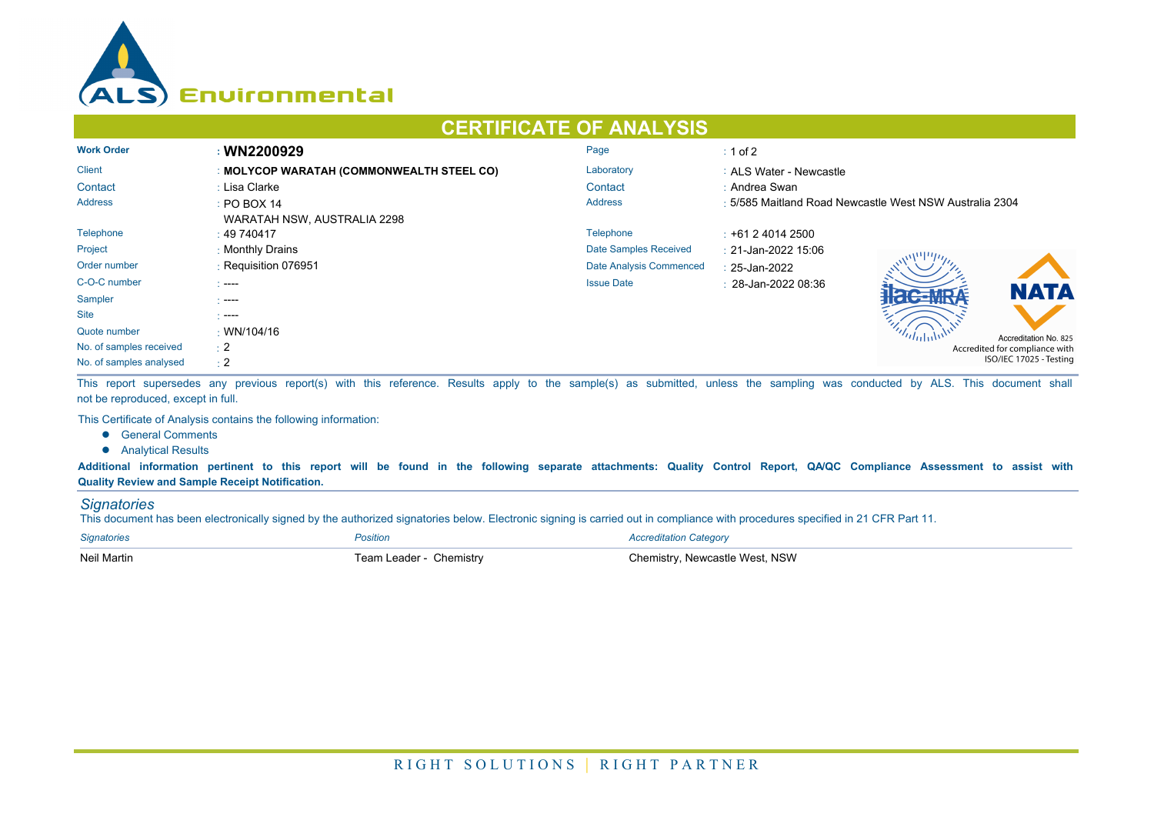

## **CERTIFICATE OF ANALYSIS**

| <b>Work Order</b>       | : WN2200929                               | Page                    | $\div$ 1 of 2                                           |  |  |
|-------------------------|-------------------------------------------|-------------------------|---------------------------------------------------------|--|--|
| <b>Client</b>           | : MOLYCOP WARATAH (COMMONWEALTH STEEL CO) | Laboratory              | : ALS Water - Newcastle                                 |  |  |
| Contact                 | : Lisa Clarke                             | Contact                 | : Andrea Swan                                           |  |  |
| <b>Address</b>          | $\div$ PO BOX 14                          | <b>Address</b>          | : 5/585 Maitland Road Newcastle West NSW Australia 2304 |  |  |
|                         | WARATAH NSW, AUSTRALIA 2298               |                         |                                                         |  |  |
| Telephone               | : 49740417                                | Telephone               | $\div$ +61 2 4014 2500                                  |  |  |
| Project                 | : Monthly Drains                          | Date Samples Received   | : 21-Jan-2022 15:06                                     |  |  |
| Order number            | : Requisition 076951                      | Date Analysis Commenced | $: 25$ -Jan-2022                                        |  |  |
| C-O-C number            | $1 - - -$                                 | <b>Issue Date</b>       | $\pm 28$ -Jan-2022 08:36                                |  |  |
| Sampler                 | - ----                                    |                         | <b>NATA</b>                                             |  |  |
| <b>Site</b>             | $\sim$ ----                               |                         |                                                         |  |  |
| Quote number            | : WN/104/16                               |                         | Accreditation No. 825                                   |  |  |
| No. of samples received | $\pm 2$                                   |                         | Accredited for compliance with                          |  |  |
| No. of samples analysed | $\div 2$                                  |                         | ISO/IEC 17025 - Testing                                 |  |  |

This report supersedes any previous report(s) with this reference. Results apply to the sample(s) as submitted, unless the sampling was conducted by ALS. This document shall not be reproduced, except in full.

This Certificate of Analysis contains the following information:

- **•** General Comments
- **•** Analytical Results

**Additional information pertinent to this report will be found in the following separate attachments: Quality Control Report, QA/QC Compliance Assessment to assist with Quality Review and Sample Receipt Notification.**

## *Signatories*

This document has been electronically signed by the authorized signatories below. Electronic signing is carried out in compliance with procedures specified in 21 CFR Part 11.

| <b>Signatories</b> | Position                | <b>Accreditation Category</b>  |
|--------------------|-------------------------|--------------------------------|
| Neil Martin        | Team Leader - Chemistry | Chemistry, Newcastle West, NSW |